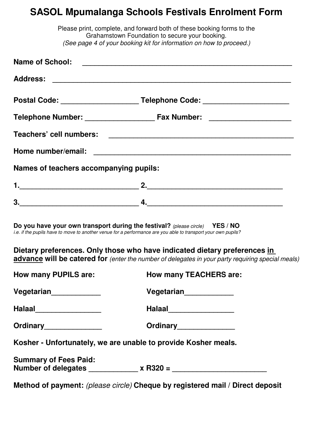## **SASOL Mpumalanga Schools Festivals Enrolment Form**

|                                        | Please print, complete, and forward both of these booking forms to the<br>Grahamstown Foundation to secure your booking.<br>(See page 4 of your booking kit for information on how to proceed.) |
|----------------------------------------|-------------------------------------------------------------------------------------------------------------------------------------------------------------------------------------------------|
|                                        |                                                                                                                                                                                                 |
|                                        |                                                                                                                                                                                                 |
|                                        | Postal Code: ___________________________Telephone Code: ________________________                                                                                                                |
|                                        |                                                                                                                                                                                                 |
|                                        |                                                                                                                                                                                                 |
|                                        |                                                                                                                                                                                                 |
| Names of teachers accompanying pupils: |                                                                                                                                                                                                 |
|                                        |                                                                                                                                                                                                 |
|                                        |                                                                                                                                                                                                 |
|                                        | Do you have your own transport during the festival? (please circle) YES / NO<br>i.e. if the pupils have to move to another venue for a performance are you able to transport your own pupils?   |
|                                        | Dietary preferences. Only those who have indicated dietary preferences in<br>advance will be catered for (enter the number of delegates in your party requiring special meals)                  |
| <b>How many PUPILS are:</b>            | <b>How many TEACHERS are:</b>                                                                                                                                                                   |
| Vegetarian_____________                | Vegetarian <sub>______________</sub>                                                                                                                                                            |
| Halaal___________________              | Halaal___________________                                                                                                                                                                       |
| Ordinary________________               | Ordinary________________                                                                                                                                                                        |
|                                        | Kosher - Unfortunately, we are unable to provide Kosher meals.                                                                                                                                  |
| <b>Summary of Fees Paid:</b>           |                                                                                                                                                                                                 |
|                                        | Method of payment: (please circle) Cheque by registered mail / Direct deposit                                                                                                                   |